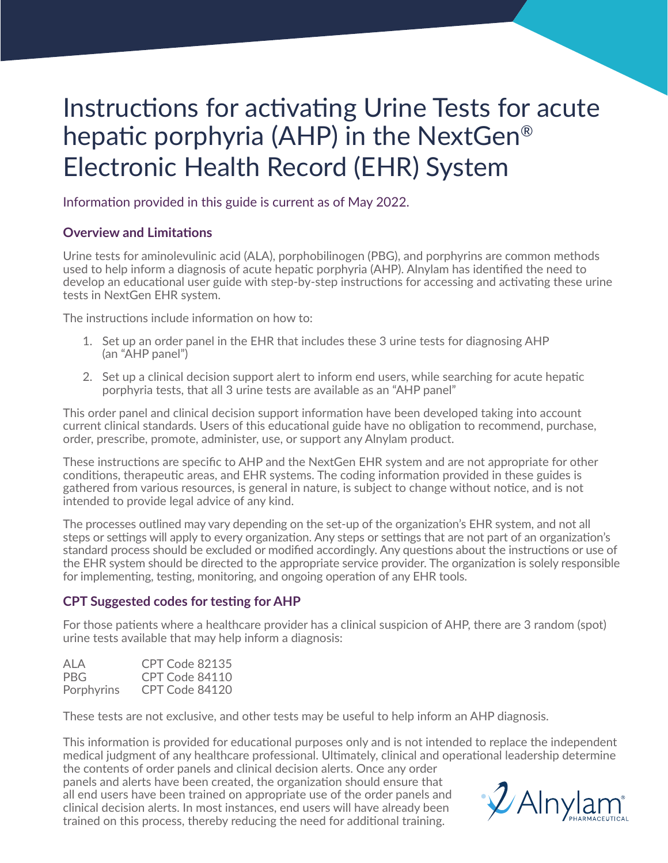# Instructions for activating Urine Tests for acute hepatic porphyria (AHP) in the NextGen® Electronic Health Record (EHR) System

Information provided in this guide is current as of May 2022.

## **Overview and Limitations**

Urine tests for aminolevulinic acid (ALA), porphobilinogen (PBG), and porphyrins are common methods used to help inform a diagnosis of acute hepatic porphyria (AHP). Alnylam has identified the need to develop an educational user guide with step-by-step instructions for accessing and activating these urine tests in NextGen EHR system.

The instructions include information on how to:

- 1. Set up an order panel in the EHR that includes these 3 urine tests for diagnosing AHP (an "AHP panel")
- 2. Set up a clinical decision support alert to inform end users, while searching for acute hepatic porphyria tests, that all 3 urine tests are available as an "AHP panel"

This order panel and clinical decision support information have been developed taking into account current clinical standards. Users of this educational guide have no obligation to recommend, purchase, order, prescribe, promote, administer, use, or support any Alnylam product.

These instructions are specific to AHP and the NextGen EHR system and are not appropriate for other conditions, therapeutic areas, and EHR systems. The coding information provided in these guides is gathered from various resources, is general in nature, is subject to change without notice, and is not intended to provide legal advice of any kind.

The processes outlined may vary depending on the set-up of the organization's EHR system, and not all steps or settings will apply to every organization. Any steps or settings that are not part of an organization's standard process should be excluded or modified accordingly. Any questions about the instructions or use of the EHR system should be directed to the appropriate service provider. The organization is solely responsible for implementing, testing, monitoring, and ongoing operation of any EHR tools.

## **CPT Suggested codes for testing for AHP**

For those patients where a healthcare provider has a clinical suspicion of AHP, there are 3 random (spot) urine tests available that may help inform a diagnosis:

| ALA        | CPT Code 82135 |
|------------|----------------|
| PBG.       | CPT Code 84110 |
| Porphyrins | CPT Code 84120 |

These tests are not exclusive, and other tests may be useful to help inform an AHP diagnosis.

This information is provided for educational purposes only and is not intended to replace the independent medical judgment of any healthcare professional. Ultimately, clinical and operational leadership determine the contents of order panels and clinical decision alerts. Once any order

panels and alerts have been created, the organization should ensure that all end users have been trained on appropriate use of the order panels and clinical decision alerts. In most instances, end users will have already been trained on this process, thereby reducing the need for additional training.

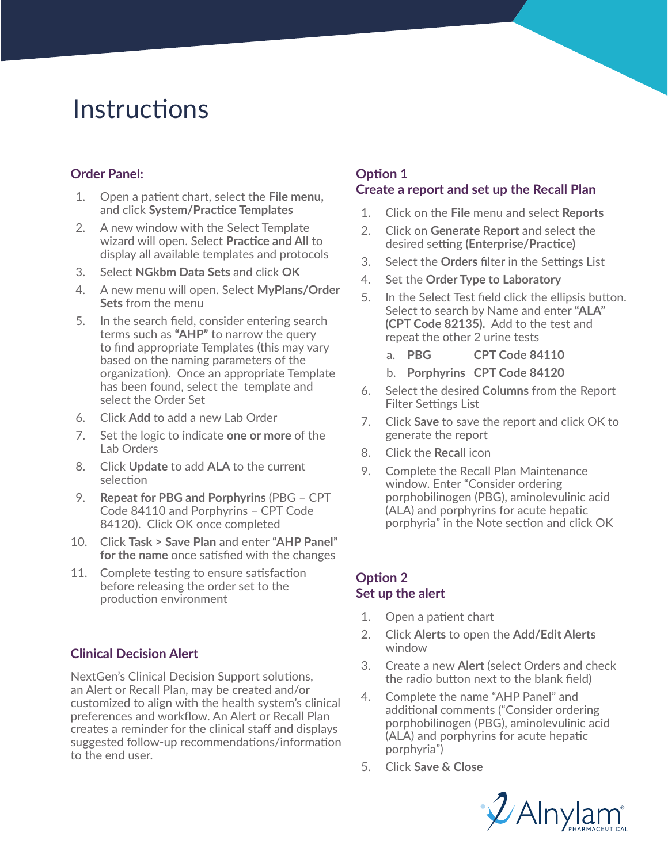# **Instructions**

# **Order Panel:**

- 1. Open a patient chart, select the **File menu,** and click **System/Practice Templates**
- 2. A new window with the Select Template wizard will open. Select **Practice and All** to display all available templates and protocols
- 3. Select **NGkbm Data Sets** and click **OK**
- 4. A new menu will open. Select **MyPlans/Order Sets** from the menu
- 5. In the search field, consider entering search terms such as **"AHP"** to narrow the query to find appropriate Templates (this may vary based on the naming parameters of the organization). Once an appropriate Template has been found, select the template and select the Order Set
- 6. Click **Add** to add a new Lab Order
- 7. Set the logic to indicate **one or more** of the Lab Orders
- 8. Click **Update** to add **ALA** to the current selection
- 9. **Repeat for PBG and Porphyrins** (PBG CPT Code 84110 and Porphyrins – CPT Code 84120). Click OK once completed
- 10. Click **Task > Save Plan** and enter **"AHP Panel" for the name** once satisfied with the changes
- 11. Complete testing to ensure satisfaction before releasing the order set to the production environment

## **Clinical Decision Alert**

NextGen's Clinical Decision Support solutions, an Alert or Recall Plan, may be created and/or customized to align with the health system's clinical preferences and workflow. An Alert or Recall Plan creates a reminder for the clinical staff and displays suggested follow-up recommendations/information to the end user.

# **Option 1 Create a report and set up the Recall Plan**

- 1. Click on the **File** menu and select **Reports**
- 2. Click on **Generate Report** and select the desired setting **(Enterprise/Practice)**
- 3. Select the **Orders** filter in the Settings List
- 4. Set the **Order Type to Laboratory**
- 5. In the Select Test field click the ellipsis button. Select to search by Name and enter **"ALA" (CPT Code 82135).** Add to the test and repeat the other 2 urine tests
	- a. **PBG CPT Code 84110**
	- b. **Porphyrins CPT Code 84120**
- 6. Select the desired **Columns** from the Report Filter Settings List
- 7. Click **Save** to save the report and click OK to generate the report
- 8. Click the **Recall** icon
- 9. Complete the Recall Plan Maintenance window. Enter "Consider ordering porphobilinogen (PBG), aminolevulinic acid (ALA) and porphyrins for acute hepatic porphyria" in the Note section and click OK

## **Option 2 Set up the alert**

- 1. Open a patient chart
- 2. Click **Alerts** to open the **Add/Edit Alerts**  window
- 3. Create a new **Alert** (select Orders and check the radio button next to the blank field)
- 4. Complete the name "AHP Panel" and additional comments ("Consider ordering porphobilinogen (PBG), aminolevulinic acid (ALA) and porphyrins for acute hepatic porphyria")
- 5. Click **Save & Close**